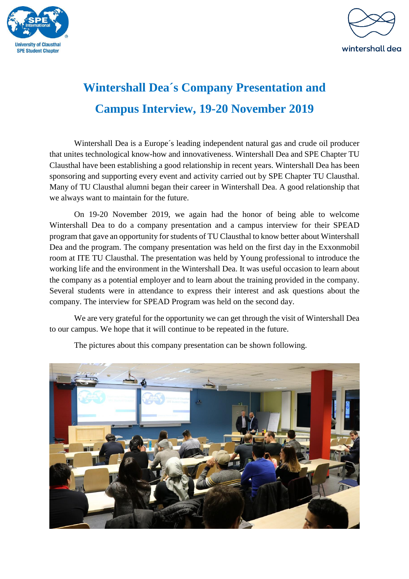



## **Wintershall Dea´s Company Presentation and Campus Interview, 19-20 November 2019**

Wintershall Dea is a Europe´s leading independent natural gas and crude oil producer that unites technological know-how and innovativeness. Wintershall Dea and SPE Chapter TU Clausthal have been establishing a good relationship in recent years. Wintershall Dea has been sponsoring and supporting every event and activity carried out by SPE Chapter TU Clausthal. Many of TU Clausthal alumni began their career in Wintershall Dea. A good relationship that we always want to maintain for the future.

On 19-20 November 2019, we again had the honor of being able to welcome Wintershall Dea to do a company presentation and a campus interview for their SPEAD program that gave an opportunity for students of TU Clausthal to know better about Wintershall Dea and the program. The company presentation was held on the first day in the Exxonmobil room at ITE TU Clausthal. The presentation was held by Young professional to introduce the working life and the environment in the Wintershall Dea. It was useful occasion to learn about the company as a potential employer and to learn about the training provided in the company. Several students were in attendance to express their interest and ask questions about the company. The interview for SPEAD Program was held on the second day.

We are very grateful for the opportunity we can get through the visit of Wintershall Dea to our campus. We hope that it will continue to be repeated in the future.



The pictures about this company presentation can be shown following.